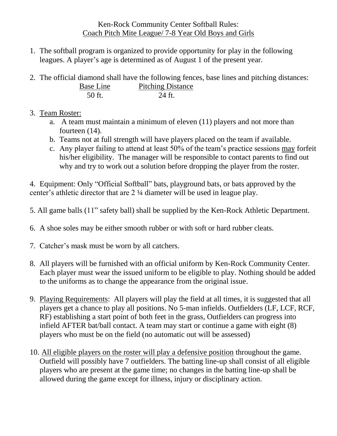- 1. The softball program is organized to provide opportunity for play in the following leagues. A player's age is determined as of August 1 of the present year.
- 2. The official diamond shall have the following fences, base lines and pitching distances: Base Line Pitching Distance 50 ft. 24 ft.

## 3. Team Roster:

- a. A team must maintain a minimum of eleven (11) players and not more than fourteen (14).
- b. Teams not at full strength will have players placed on the team if available.
- c. Any player failing to attend at least 50% of the team's practice sessions may forfeit his/her eligibility. The manager will be responsible to contact parents to find out why and try to work out a solution before dropping the player from the roster.

4. Equipment: Only "Official Softball" bats, playground bats, or bats approved by the center's athletic director that are 2 ¼ diameter will be used in league play.

5. All game balls (11" safety ball) shall be supplied by the Ken-Rock Athletic Department.

- 6. A shoe soles may be either smooth rubber or with soft or hard rubber cleats.
- 7. Catcher's mask must be worn by all catchers.
- 8. All players will be furnished with an official uniform by Ken-Rock Community Center. Each player must wear the issued uniform to be eligible to play. Nothing should be added to the uniforms as to change the appearance from the original issue.
- 9. Playing Requirements: All players will play the field at all times, it is suggested that all players get a chance to play all positions. No 5-man infields. Outfielders (LF, LCF, RCF, RF) establishing a start point of both feet in the grass, Outfielders can progress into infield AFTER bat/ball contact. A team may start or continue a game with eight (8) players who must be on the field (no automatic out will be assessed)
- 10. All eligible players on the roster will play a defensive position throughout the game. Outfield will possibly have 7 outfielders. The batting line-up shall consist of all eligible players who are present at the game time; no changes in the batting line-up shall be allowed during the game except for illness, injury or disciplinary action.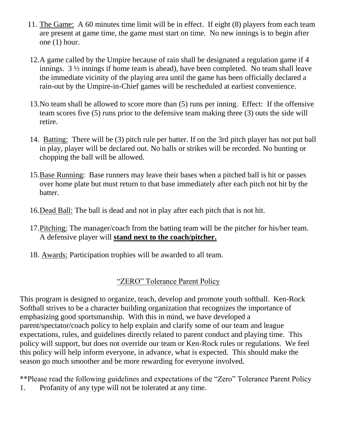- 11. The Game: A 60 minutes time limit will be in effect. If eight (8) players from each team are present at game time, the game must start on time. No new innings is to begin after one (1) hour.
- 12.A game called by the Umpire because of rain shall be designated a regulation game if 4 innings. 3 ½ innings if home team is ahead), have been completed. No team shall leave the immediate vicinity of the playing area until the game has been officially declared a rain-out by the Umpire-in-Chief games will be rescheduled at earliest convenience.
- 13.No team shall be allowed to score more than (5) runs per inning. Effect: If the offensive team scores five (5) runs prior to the defensive team making three (3) outs the side will retire.
- 14. Batting: There will be (3) pitch rule per batter. If on the 3rd pitch player has not put ball in play, player will be declared out. No balls or strikes will be recorded. No bunting or chopping the ball will be allowed.
- 15.Base Running: Base runners may leave their bases when a pitched ball is hit or passes over home plate but must return to that base immediately after each pitch not hit by the batter.
- 16.Dead Ball: The ball is dead and not in play after each pitch that is not hit.
- 17.Pitching: The manager/coach from the batting team will be the pitcher for his/her team. A defensive player will **stand next to the coach/pitcher.**
- 18. Awards: Participation trophies will be awarded to all team.

## "ZERO" Tolerance Parent Policy

This program is designed to organize, teach, develop and promote youth softball. Ken-Rock Softball strives to be a character building organization that recognizes the importance of emphasizing good sportsmanship. With this in mind, we have developed a parent/spectator/coach policy to help explain and clarify some of our team and league expectations, rules, and guidelines directly related to parent conduct and playing time. This policy will support, but does not override our team or Ken-Rock rules or regulations. We feel this policy will help inform everyone, in advance, what is expected. This should make the season go much smoother and be more rewarding for everyone involved.

\*\*Please read the following guidelines and expectations of the "Zero" Tolerance Parent Policy 1. Profanity of any type will not be tolerated at any time.